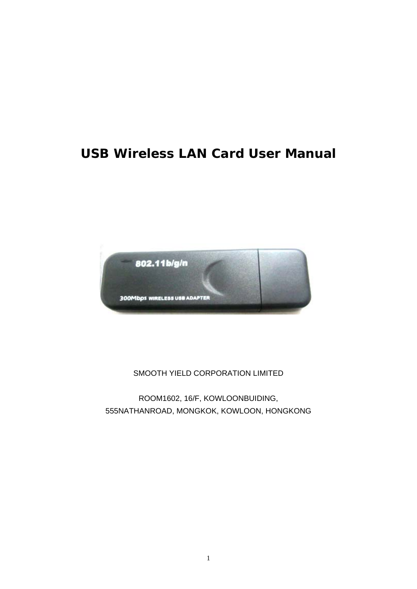# **USB Wireless LAN Card User Manual**



#### SMOOTH YIELD CORPORATION LIMITED

ROOM1602, 16/F, KOWLOONBUIDING, 555NATHANROAD, MONGKOK, KOWLOON, HONGKONG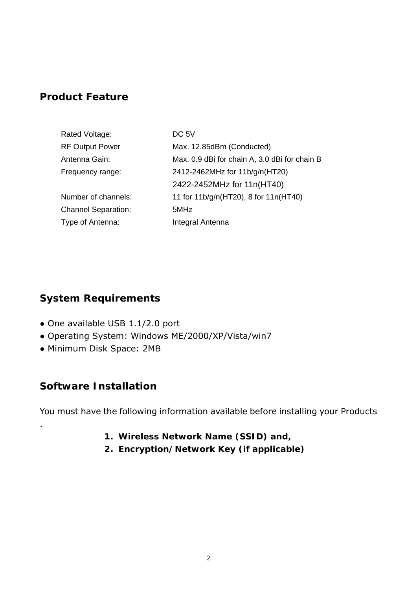### **Product Feature**

| Rated Voltage:             | DC 5V                                         |
|----------------------------|-----------------------------------------------|
| <b>RF Output Power</b>     | Max. 12.85dBm (Conducted)                     |
| Antenna Gain:              | Max. 0.9 dBi for chain A, 3.0 dBi for chain B |
| Frequency range:           | 2412-2462MHz for 11b/g/n(HT20)                |
|                            | 2422-2452MHz for 11n(HT40)                    |
| Number of channels:        | 11 for 11b/g/n(HT20), 8 for 11n(HT40)         |
| <b>Channel Separation:</b> | 5MHz                                          |
| Type of Antenna:           | Integral Antenna                              |

## **System Requirements**

- One available USB 1.1/2.0 port
- Operating System: Windows ME/2000/XP/Vista/win7
- Minimum Disk Space: 2MB

#### **Software Installation**

.

You must have the following information available before installing your Products

- **1. Wireless Network Name (SSID) and,**
- **2. Encryption/Network Key (if applicable)**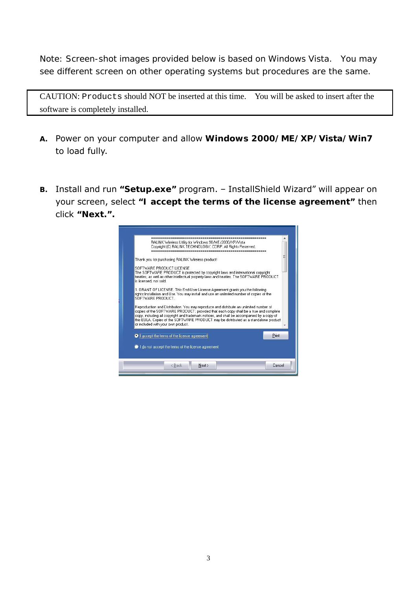*Note: Screen-shot images provided below is based on Windows Vista. You may see different screen on other operating systems but procedures are the same.* 

CAUTION: Products should NOT be inserted at this time. You will be asked to insert after the software is completely installed.

- *A.* Power on your computer and allow *Windows 2000/ME/XP/Vista/Win7*  to load fully.
- *B.* Install and run **"***Setup.exe***"** program. InstallShield Wizard" will appear on your screen, select *"I accept the terms of the license agreement"* then click *"Next."***.**

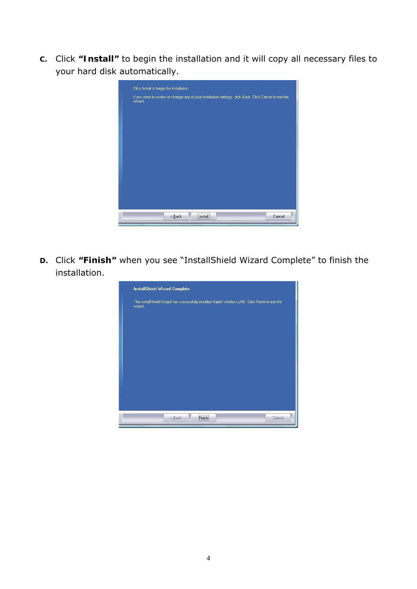*C.* Click *"Install"* to begin the installation and it will copy all necessary files to your hard disk automatically.

|         | Click Install to begin the installation.                                                                |  |
|---------|---------------------------------------------------------------------------------------------------------|--|
| wizard. | If you want to review or change any of your installation settings, click Back. Click Cancel to exit the |  |
|         | ,,,,,,,,,,,,,,,,<br>Cancel<br>$\leq$ Back<br>Install                                                    |  |

*D.* Click *"Finish"* when you see "InstallShield Wizard Complete" to finish the installation.

| <b>InstallShield Wizard Complete</b>                                                                         |  |  |
|--------------------------------------------------------------------------------------------------------------|--|--|
| The InstallShield Wizard has successfully installed Ralink Wireless LAN. Click Finish to exit the<br>wizard. |  |  |
|                                                                                                              |  |  |
|                                                                                                              |  |  |
|                                                                                                              |  |  |
|                                                                                                              |  |  |
|                                                                                                              |  |  |
|                                                                                                              |  |  |
| .<br>$\leq$ Back<br>Finish<br>Cancel                                                                         |  |  |